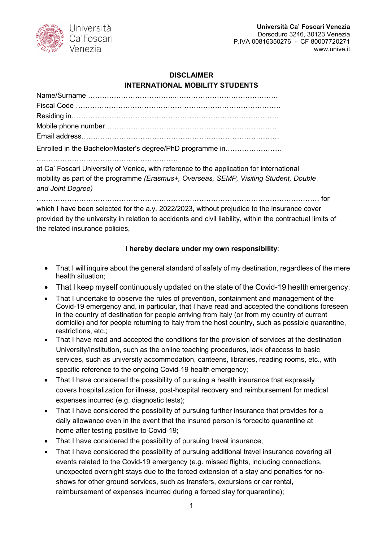

## **DISCLAIMER INTERNATIONAL MOBILITY STUDENTS**

| Enrolled in the Bachelor/Master's degree/PhD programme in |
|-----------------------------------------------------------|
|                                                           |

at Ca' Foscari University of Venice, with reference to the application for international mobility as part of the programme *(Erasmus+, Overseas, SEMP, Visiting Student, Double and Joint Degree)*

………………………………………………………………………………………………………… for

which I have been selected for the a.y. 2022/2023, without prejudice to the insurance cover provided by the university in relation to accidents and civil liability, within the contractual limits of the related insurance policies,

## **I hereby declare under my own responsibility**:

- That I will inquire about the general standard of safety of my destination, regardless of the mere health situation;
- That I keep myself continuously updated on the state of the Covid-19 healthemergency;
- That I undertake to observe the rules of prevention, containment and management of the Covid-19 emergency and, in particular, that I have read and accepted the conditions foreseen in the country of destination for people arriving from Italy (or from my country of current domicile) and for people returning to Italy from the host country, such as possible quarantine, restrictions, etc.;
- That I have read and accepted the conditions for the provision of services at the destination University/Institution, such as the online teaching procedures, lack of access to basic services, such as university accommodation, canteens, libraries, reading rooms, etc., with specific reference to the ongoing Covid-19 health emergency;
- That I have considered the possibility of pursuing a health insurance that expressly covers hospitalization for illness, post-hospital recovery and reimbursement for medical expenses incurred (e.g. diagnostic tests);
- That I have considered the possibility of pursuing further insurance that provides for a daily allowance even in the event that the insured person is forcedto quarantine at home after testing positive to Covid-19;
- That I have considered the possibility of pursuing travel insurance;
- That I have considered the possibility of pursuing additional travel insurance covering all events related to the Covid-19 emergency (e.g. missed flights, including connections, unexpected overnight stays due to the forced extension of a stay and penalties for noshows for other ground services, such as transfers, excursions or car rental, reimbursement of expenses incurred during a forced stay for quarantine);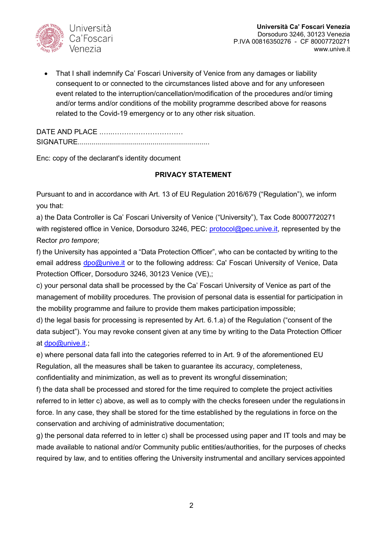

• That I shall indemnify Ca' Foscari University of Venice from any damages or liability consequent to or connected to the circumstances listed above and for any unforeseen event related to the interruption/cancellation/modification of the procedures and/or timing and/or terms and/or conditions of the mobility programme described above for reasons related to the Covid-19 emergency or to any other risk situation.

DATE AND PLACE .…..………………………… SIGNATURE...................................................................

Enc: copy of the declarant's identity document

## **PRIVACY STATEMENT**

Pursuant to and in accordance with Art. 13 of EU Regulation 2016/679 ("Regulation"), we inform you that:

a) the Data Controller is Ca' Foscari University of Venice ("University"), Tax Code 80007720271 with registered office in Venice, Dorsoduro 3246, PEC: [protocol@pec.unive.it,](mailto:protocollo@pec.unive.it) represented by the Rector *pro tempore*;

f) the University has appointed a "Data Protection Officer", who can be contacted by writing to the email address [dpo@unive.it](mailto:dpo@unive.it) or to the following address: Ca' Foscari University of Venice, Data Protection Officer, Dorsoduro 3246, 30123 Venice (VE),;

c) your personal data shall be processed by the Ca' Foscari University of Venice as part of the management of mobility procedures. The provision of personal data is essential for participation in the mobility programme and failure to provide them makes participation impossible;

d) the legal basis for processing is represented by Art. 6.1.a) of the Regulation ("consent of the data subject"). You may revoke consent given at any time by writing to the Data Protection Officer at [dpo@unive.it.](mailto:dpo@unive.it);

e) where personal data fall into the categories referred to in Art. 9 of the aforementioned EU Regulation, all the measures shall be taken to guarantee its accuracy, completeness,

confidentiality and minimization, as well as to prevent its wrongful dissemination;

f) the data shall be processed and stored for the time required to complete the project activities referred to in letter c) above, as well as to comply with the checks foreseen under the regulations in force. In any case, they shall be stored for the time established by the regulations in force on the conservation and archiving of administrative documentation;

g) the personal data referred to in letter c) shall be processed using paper and IT tools and may be made available to national and/or Community public entities/authorities, for the purposes of checks required by law, and to entities offering the University instrumental and ancillary services appointed